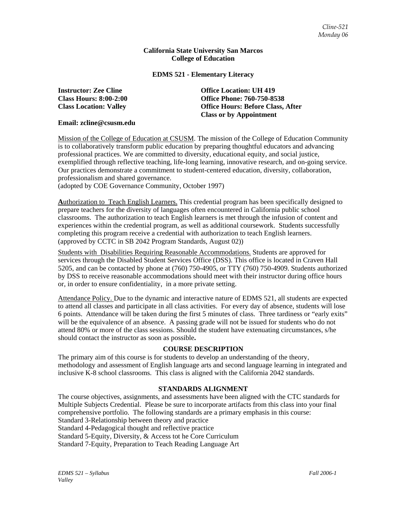#### **California State University San Marcos College of Education**

## **EDMS 521 - Elementary Literacy**

**Instructor: Zee Cline Community Construction: UH 419 Class Hours: 8:00-2:00 Office Phone: 760-750-8538 Class Location: Valley Office Hours: Before Class, After Class or by Appointment** 

#### **Email: zcline@csusm.edu**

Mission of the College of Education at CSUSM. The mission of the College of Education Community is to collaboratively transform public education by preparing thoughtful educators and advancing professional practices. We are committed to diversity, educational equity, and social justice, exemplified through reflective teaching, life-long learning, innovative research, and on-going service. Our practices demonstrate a commitment to student-centered education, diversity, collaboration, professionalism and shared governance.

(adopted by COE Governance Community, October 1997)

**A**uthorization to Teach English Learners. This credential program has been specifically designed to prepare teachers for the diversity of languages often encountered in California public school classrooms. The authorization to teach English learners is met through the infusion of content and experiences within the credential program, as well as additional coursework. Students successfully completing this program receive a credential with authorization to teach English learners. (approved by CCTC in SB 2042 Program Standards, August 02))

Students with Disabilities Requiring Reasonable Accommodations. Students are approved for services through the Disabled Student Services Office (DSS). This office is located in Craven Hall 5205, and can be contacted by phone at (760) 750-4905, or TTY (760) 750-4909. Students authorized by DSS to receive reasonable accommodations should meet with their instructor during office hours or, in order to ensure confidentiality, in a more private setting.

Attendance Policy. Due to the dynamic and interactive nature of EDMS 521, all students are expected to attend all classes and participate in all class activities. For every day of absence, students will lose 6 points. Attendance will be taken during the first 5 minutes of class. Three tardiness or "early exits" will be the equivalence of an absence. A passing grade will not be issued for students who do not attend 80% or more of the class sessions. Should the student have extenuating circumstances, s/he should contact the instructor as soon as possible**.**

## **COURSE DESCRIPTION**

The primary aim of this course is for students to develop an understanding of the theory, methodology and assessment of English language arts and second language learning in integrated and inclusive K-8 school classrooms. This class is aligned with the California 2042 standards.

## **STANDARDS ALIGNMENT**

The course objectives, assignments, and assessments have been aligned with the CTC standards for Multiple Subjects Credential. Please be sure to incorporate artifacts from this class into your final comprehensive portfolio. The following standards are a primary emphasis in this course: Standard 3-Relationship between theory and practice Standard 4-Pedagogical thought and reflective practice Standard 5-Equity, Diversity, & Access tot he Core Curriculum Standard 7-Equity, Preparation to Teach Reading Language Art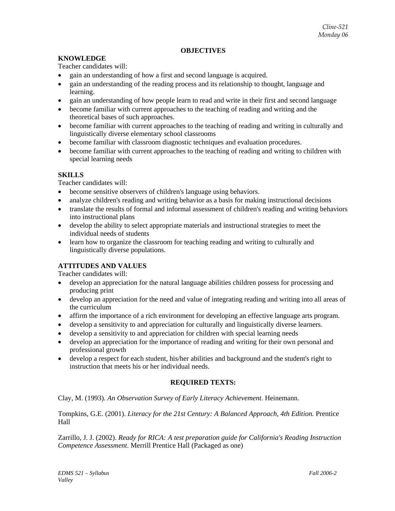## **OBJECTIVES**

## **KNOWLEDGE**

Teacher candidates will:

- gain an understanding of how a first and second language is acquired.
- gain an understanding of the reading process and its relationship to thought, language and learning.
- gain an understanding of how people learn to read and write in their first and second language
- become familiar with current approaches to the teaching of reading and writing and the theoretical bases of such approaches.
- become familiar with current approaches to the teaching of reading and writing in culturally and linguistically diverse elementary school classrooms
- become familiar with classroom diagnostic techniques and evaluation procedures.
- become familiar with current approaches to the teaching of reading and writing to children with special learning needs

## **SKILLS**

Teacher candidates will:

- become sensitive observers of children's language using behaviors.
- analyze children's reading and writing behavior as a basis for making instructional decisions
- translate the results of formal and informal assessment of children's reading and writing behaviors into instructional plans
- develop the ability to select appropriate materials and instructional strategies to meet the individual needs of students
- learn how to organize the classroom for teaching reading and writing to culturally and linguistically diverse populations.

## **ATTITUDES AND VALUES**

Teacher candidates will:

- develop an appreciation for the natural language abilities children possess for processing and producing print
- develop an appreciation for the need and value of integrating reading and writing into all areas of the curriculum
- affirm the importance of a rich environment for developing an effective language arts program.
- develop a sensitivity to and appreciation for culturally and linguistically diverse learners.
- develop a sensitivity to and appreciation for children with special learning needs
- develop an appreciation for the importance of reading and writing for their own personal and professional growth
- develop a respect for each student, his/her abilities and background and the student's right to instruction that meets his or her individual needs.

## **REQUIRED TEXTS:**

Clay, M. (1993). *An Observation Survey of Early Literacy Achievement*. Heinemann.

Tompkins, G.E. (2001). *Literacy for the 21st Century: A Balanced Approach, 4th Edition.* Prentice Hall

Zarrillo, J. J. (2002). *Ready for RICA: A test preparation guide for California's Reading Instruction Competence Assessment*. Merrill Prentice Hall (Packaged as one)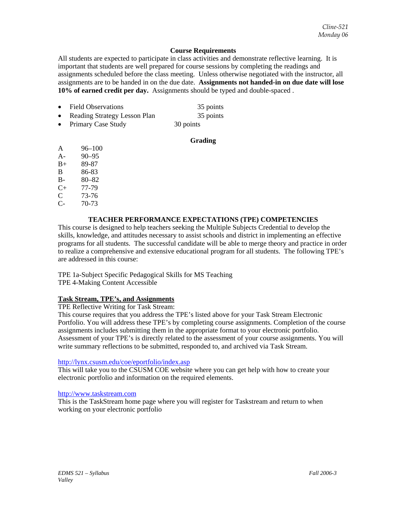## **Course Requirements**

All students are expected to participate in class activities and demonstrate reflective learning. It is important that students are well prepared for course sessions by completing the readings and assignments scheduled before the class meeting. Unless otherwise negotiated with the instructor, all assignments are to be handed in on the due date. **Assignments not handed-in on due date will lose 10% of earned credit per day.** Assignments should be typed and double-spaced .

• Field Observations 35 points **Reading Strategy Lesson Plan** 35 points Primary Case Study 30 points

## **Grading**

- A 96–100
- A- 90–95
- B+ 89-87
- B 86-83
- B- 80–82
- C+ 77-79
- C 73-76
- C- 70-73

## **TEACHER PERFORMANCE EXPECTATIONS (TPE) COMPETENCIES**

This course is designed to help teachers seeking the Multiple Subjects Credential to develop the skills, knowledge, and attitudes necessary to assist schools and district in implementing an effective programs for all students. The successful candidate will be able to merge theory and practice in order to realize a comprehensive and extensive educational program for all students. The following TPE's are addressed in this course:

TPE 1a-Subject Specific Pedagogical Skills for MS Teaching TPE 4-Making Content Accessible

## **Task Stream, TPE's, and Assignments**

TPE Reflective Writing for Task Stream:

This course requires that you address the TPE's listed above for your Task Stream Electronic Portfolio. You will address these TPE's by completing course assignments. Completion of the course assignments includes submitting them in the appropriate format to your electronic portfolio. Assessment of your TPE's is directly related to the assessment of your course assignments. You will write summary reflections to be submitted, responded to, and archived via Task Stream.

## http://lynx.csusm.edu/coe/eportfolio/index.asp

This will take you to the CSUSM COE website where you can get help with how to create your electronic portfolio and information on the required elements.

## http://www.taskstream.com

This is the TaskStream home page where you will register for Taskstream and return to when working on your electronic portfolio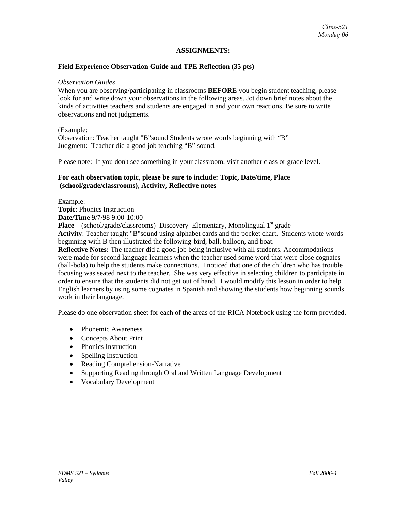## **ASSIGNMENTS:**

## **Field Experience Observation Guide and TPE Reflection (35 pts)**

#### *Observation Guides*

When you are observing/participating in classrooms **BEFORE** you begin student teaching, please look for and write down your observations in the following areas. Jot down brief notes about the kinds of activities teachers and students are engaged in and your own reactions. Be sure to write observations and not judgments.

#### (Example:

Observation: Teacher taught "B"sound Students wrote words beginning with "B" Judgment: Teacher did a good job teaching "B" sound.

Please note: If you don't see something in your classroom, visit another class or grade level.

#### **For each observation topic, please be sure to include: Topic, Date/time, Place (school/grade/classrooms), Activity, Reflective notes**

Example:

**Topic**: Phonics Instruction **Date/Time** 9/7/98 9:00-10:00

**Place** (school/grade/classrooms) Discovery Elementary, Monolingual 1<sup>st</sup> grade **Activity**: Teacher taught "B"sound using alphabet cards and the pocket chart. Students wrote words beginning with B then illustrated the following-bird, ball, balloon, and boat.

**Reflective Notes:** The teacher did a good job being inclusive with all students. Accommodations were made for second language learners when the teacher used some word that were close cognates (ball-bola) to help the students make connections. I noticed that one of the children who has trouble focusing was seated next to the teacher. She was very effective in selecting children to participate in order to ensure that the students did not get out of hand. I would modify this lesson in order to help English learners by using some cognates in Spanish and showing the students how beginning sounds work in their language.

Please do one observation sheet for each of the areas of the RICA Notebook using the form provided.

- Phonemic Awareness
- Concepts About Print
- Phonics Instruction
- Spelling Instruction
- Reading Comprehension-Narrative
- Supporting Reading through Oral and Written Language Development
- Vocabulary Development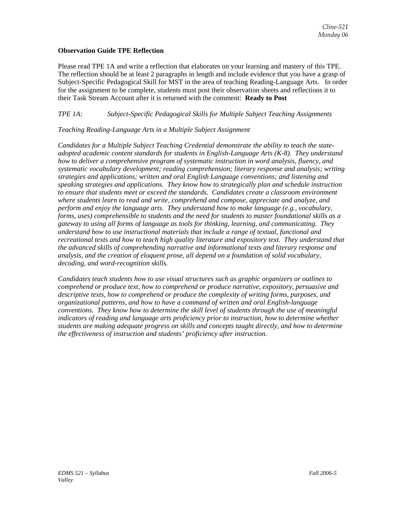## **Observation Guide TPE Reflection**

Please read TPE 1A and write a reflection that elaborates on your learning and mastery of this TPE. The reflection should be at least 2 paragraphs in length and include evidence that you have a grasp of Subject-Specific Pedagogical Skill for MST in the area of teaching Reading-Language Arts. In order for the assignment to be complete, students must post their observation sheets and reflections it to their Task Stream Account after it is returned with the comment: **Ready to Post**

## *TPE 1A: Subject-Specific Pedagogical Skills for Multiple Subject Teaching Assignments*

## *Teaching Reading-Language Arts in a Multiple Subject Assignment*

*Candidates for a Multiple Subject Teaching Credential demonstrate the ability to teach the stateadopted academic content standards for students in English-Language Arts (K-8). They understand how to deliver a comprehensive program of systematic instruction in word analysis, fluency, and systematic vocabulary development; reading comprehension; literary response and analysis; writing strategies and applications; written and oral English Language conventions; and listening and speaking strategies and applications. They know how to strategically plan and schedule instruction to ensure that students meet or exceed the standards. Candidates create a classroom environment where students learn to read and write, comprehend and compose, appreciate and analyze, and perform and enjoy the language arts. They understand how to make language (e.g., vocabulary, forms, uses) comprehensible to students and the need for students to master foundational skills as a gateway to using all forms of language as tools for thinking, learning, and communicating. They understand how to use instructional materials that include a range of textual, functional and recreational texts and how to teach high quality literature and expository text. They understand that the advanced skills of comprehending narrative and informational texts and literary response and analysis, and the creation of eloquent prose, all depend on a foundation of solid vocabulary, decoding, and word-recognition skills.* 

*Candidates teach students how to use visual structures such as graphic organizers or outlines to comprehend or produce text, how to comprehend or produce narrative, expository, persuasive and descriptive texts, how to comprehend or produce the complexity of writing forms, purposes, and organizational patterns, and how to have a command of written and oral English-language conventions. They know how to determine the skill level of students through the use of meaningful indicators of reading and language arts proficiency prior to instruction, how to determine whether students are making adequate progress on skills and concepts taught directly, and how to determine the effectiveness of instruction and students' proficiency after instruction.*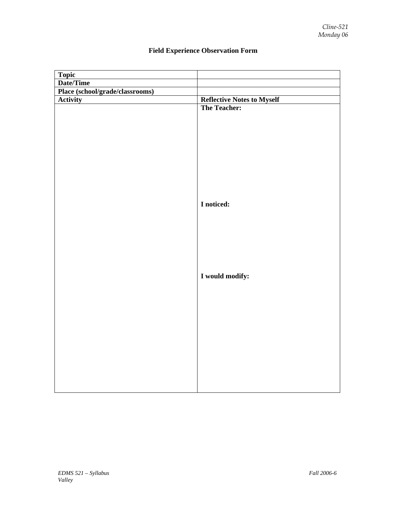| Topic                           |                                   |
|---------------------------------|-----------------------------------|
| Date/Time                       |                                   |
| Place (school/grade/classrooms) |                                   |
| <b>Activity</b>                 | <b>Reflective Notes to Myself</b> |
|                                 | <b>The Teacher:</b>               |
|                                 |                                   |
|                                 |                                   |
|                                 |                                   |
|                                 |                                   |
|                                 |                                   |
|                                 |                                   |
|                                 |                                   |
|                                 |                                   |
|                                 |                                   |
|                                 |                                   |
|                                 | I noticed:                        |
|                                 |                                   |
|                                 |                                   |
|                                 |                                   |
|                                 |                                   |
|                                 |                                   |
|                                 |                                   |
|                                 |                                   |
|                                 | I would modify:                   |
|                                 |                                   |
|                                 |                                   |
|                                 |                                   |
|                                 |                                   |
|                                 |                                   |
|                                 |                                   |
|                                 |                                   |
|                                 |                                   |
|                                 |                                   |
|                                 |                                   |
|                                 |                                   |
|                                 |                                   |
|                                 |                                   |

# **Field Experience Observation Form**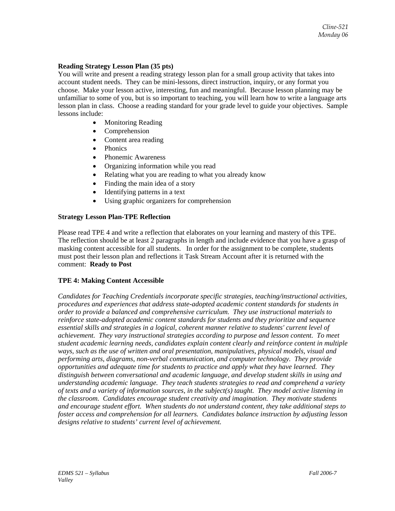## **Reading Strategy Lesson Plan (35 pts)**

You will write and present a reading strategy lesson plan for a small group activity that takes into account student needs. They can be mini-lessons, direct instruction, inquiry, or any format you choose. Make your lesson active, interesting, fun and meaningful. Because lesson planning may be unfamiliar to some of you, but is so important to teaching, you will learn how to write a language arts lesson plan in class. Choose a reading standard for your grade level to guide your objectives. Sample lessons include:

- Monitoring Reading
- **Comprehension**
- Content area reading
- Phonics
- Phonemic Awareness
- Organizing information while you read
- Relating what you are reading to what you already know
- Finding the main idea of a story
- Identifying patterns in a text
- Using graphic organizers for comprehension

#### **Strategy Lesson Plan-TPE Reflection**

Please read TPE 4 and write a reflection that elaborates on your learning and mastery of this TPE. The reflection should be at least 2 paragraphs in length and include evidence that you have a grasp of masking content accessible for all students. In order for the assignment to be complete, students must post their lesson plan and reflections it Task Stream Account after it is returned with the comment: **Ready to Post**

## **TPE 4: Making Content Accessible**

*Candidates for Teaching Credentials incorporate specific strategies, teaching/instructional activities, procedures and experiences that address state-adopted academic content standards for students in order to provide a balanced and comprehensive curriculum. They use instructional materials to reinforce state-adopted academic content standards for students and they prioritize and sequence essential skills and strategies in a logical, coherent manner relative to students' current level of achievement. They vary instructional strategies according to purpose and lesson content. To meet student academic learning needs, candidates explain content clearly and reinforce content in multiple ways, such as the use of written and oral presentation, manipulatives, physical models, visual and performing arts, diagrams, non-verbal communication, and computer technology. They provide opportunities and adequate time for students to practice and apply what they have learned. They distinguish between conversational and academic language, and develop student skills in using and understanding academic language. They teach students strategies to read and comprehend a variety of texts and a variety of information sources, in the subject(s) taught. They model active listening in the classroom. Candidates encourage student creativity and imagination. They motivate students and encourage student effort. When students do not understand content, they take additional steps to foster access and comprehension for all learners. Candidates balance instruction by adjusting lesson designs relative to students' current level of achievement.*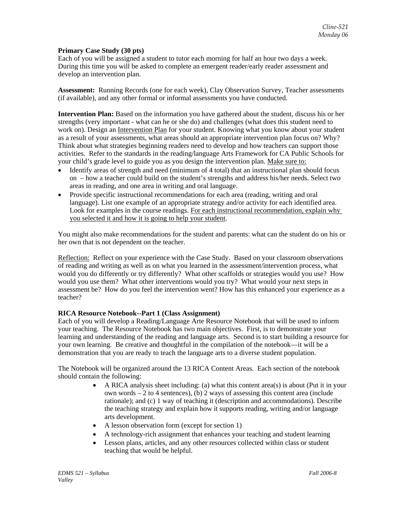## **Primary Case Study (30 pts)**

Each of you will be assigned a student to tutor each morning for half an hour two days a week. During this time you will be asked to complete an emergent reader/early reader assessment and develop an intervention plan.

**Assessment:** Running Records (one for each week), Clay Observation Survey, Teacher assessments (if available), and any other formal or informal assessments you have conducted.

**Intervention Plan:** Based on the information you have gathered about the student, discuss his or her strengths (very important - what can he or she do) and challenges (what does this student need to work on). Design an Intervention Plan for your student. Knowing what you know about your student as a result of your assessments, what areas should an appropriate intervention plan focus on? Why? Think about what strategies beginning readers need to develop and how teachers can support those activities. Refer to the standards in the reading/language Arts Framework for CA Public Schools for your child's grade level to guide you as you design the intervention plan. Make sure to:

- Identify areas of strength and need (minimum of 4 total) that an instructional plan should focus on – how a teacher could build on the student's strengths and address his/her needs. Select two areas in reading, and one area in writing and oral language.
- Provide specific instructional recommendations for each area (reading, writing and oral language). List one example of an appropriate strategy and/or activity for each identified area. Look for examples in the course readings. For each instructional recommendation, explain why you selected it and how it is going to help your student.

You might also make recommendations for the student and parents: what can the student do on his or her own that is not dependent on the teacher.

Reflection: Reflect on your experience with the Case Study. Based on your classroom observations of reading and writing as well as on what you learned in the assessment/intervention process, what would you do differently or try differently? What other scaffolds or strategies would you use? How would you use them? What other interventions would you try? What would your next steps in assessment be? How do you feel the intervention went? How has this enhanced your experience as a teacher?

## **RICA Resource Notebook--Part 1 (Class Assignment)**

Each of you will develop a Reading/Language Arte Resource Notebook that will be used to inform your teaching. The Resource Notebook has two main objectives. First, is to demonstrate your learning and understanding of the reading and language arts. Second is to start building a resource for your own learning. Be creative and thoughtful in the compilation of the notebook—it will be a demonstration that you are ready to teach the language arts to a diverse student population.

The Notebook will be organized around the 13 RICA Content Areas. Each section of the notebook should contain the following:

- A RICA analysis sheet including: (a) what this content area(s) is about (Put it in your own words – 2 to 4 sentences), (b) 2 ways of assessing this content area (include rationale); and (c) 1 way of teaching it (description and accommodations). Describe the teaching strategy and explain how it supports reading, writing and/or language arts development.
- A lesson observation form (except for section 1)
- A technology-rich assignment that enhances your teaching and student learning
- Lesson plans, articles, and any other resources collected within class or student teaching that would be helpful.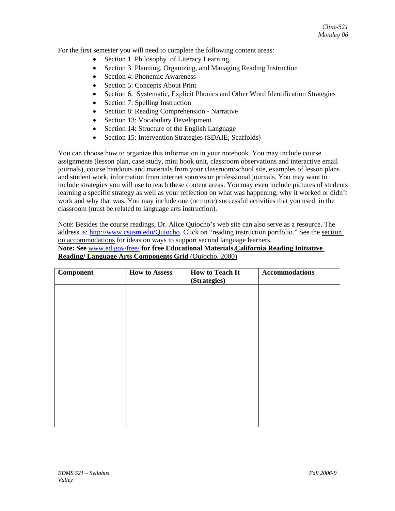For the first semester you will need to complete the following content areas:

- Section 1 Philosophy of Literacy Learning
- Section 3 Planning, Organizing, and Managing Reading Instruction
- Section 4: Phonemic Awareness
- Section 5: Concepts About Print
- Section 6: Systematic, Explicit Phonics and Other Word Identification Strategies
- Section 7: Spelling Instruction
- Section 8: Reading Comprehension Narrative
- Section 13: Vocabulary Development
- Section 14: Structure of the English Language
- Section 15: Intervention Strategies (SDAIE; Scaffolds)

You can choose how to organize this information in your notebook. You may include course assignments (lesson plan, case study, mini book unit, classroom observations and interactive email journals), course handouts and materials from your classroom/school site, examples of lesson plans and student work, information from internet sources or professional journals. You may want to include strategies you will use to teach these content areas. You may even include pictures of students learning a specific strategy as well as your reflection on what was happening, why it worked or didn't work and why that was. You may include one (or more) successful activities that you used in the classroom (must be related to language arts instruction).

Note: Besides the course readings, Dr. Alice Quiocho's web site can also serve as a resource. The address is: http://www.csusm.edu/Quiocho. Click on "reading instruction portfolio." See the section on accommodations for ideas on ways to support second language learners.

**Note: See** www.ed.gov/free/ **for free Educational Materials.California Reading Initiative Reading/ Language Arts Components Grid** (Quiocho, 2000)

| <b>Component</b> | <b>How to Assess</b> | <b>How to Teach It</b><br>(Strategies) | <b>Accommodations</b> |
|------------------|----------------------|----------------------------------------|-----------------------|
|                  |                      |                                        |                       |
|                  |                      |                                        |                       |
|                  |                      |                                        |                       |
|                  |                      |                                        |                       |
|                  |                      |                                        |                       |
|                  |                      |                                        |                       |
|                  |                      |                                        |                       |
|                  |                      |                                        |                       |
|                  |                      |                                        |                       |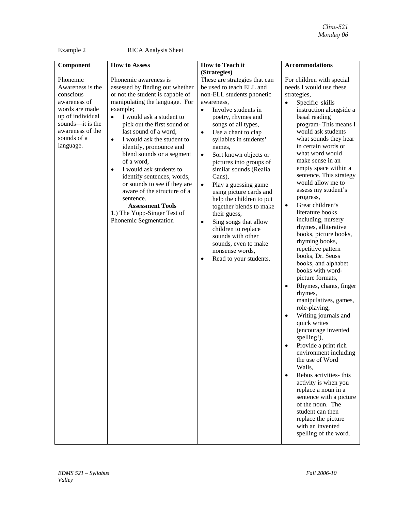Example 2 RICA Analysis Sheet

| Component                                                                                                                                                           | <b>How to Assess</b>                                                                                                                                                                                                                                                                                                                                                                                                                                                                                                                                                                              | <b>How to Teach it</b>                                                                                                                                                                                                                                                                                                                                                                                                                                                                                                                                                                                                                                        | <b>Accommodations</b>                                                                                                                                                                                                                                                                                                                                                                                                                                                                                                                                                                                                                                                                                                                                                                                                                                                                                                                                                                                                                                                                                 |
|---------------------------------------------------------------------------------------------------------------------------------------------------------------------|---------------------------------------------------------------------------------------------------------------------------------------------------------------------------------------------------------------------------------------------------------------------------------------------------------------------------------------------------------------------------------------------------------------------------------------------------------------------------------------------------------------------------------------------------------------------------------------------------|---------------------------------------------------------------------------------------------------------------------------------------------------------------------------------------------------------------------------------------------------------------------------------------------------------------------------------------------------------------------------------------------------------------------------------------------------------------------------------------------------------------------------------------------------------------------------------------------------------------------------------------------------------------|-------------------------------------------------------------------------------------------------------------------------------------------------------------------------------------------------------------------------------------------------------------------------------------------------------------------------------------------------------------------------------------------------------------------------------------------------------------------------------------------------------------------------------------------------------------------------------------------------------------------------------------------------------------------------------------------------------------------------------------------------------------------------------------------------------------------------------------------------------------------------------------------------------------------------------------------------------------------------------------------------------------------------------------------------------------------------------------------------------|
|                                                                                                                                                                     |                                                                                                                                                                                                                                                                                                                                                                                                                                                                                                                                                                                                   | (Strategies)                                                                                                                                                                                                                                                                                                                                                                                                                                                                                                                                                                                                                                                  |                                                                                                                                                                                                                                                                                                                                                                                                                                                                                                                                                                                                                                                                                                                                                                                                                                                                                                                                                                                                                                                                                                       |
| Phonemic<br>Awareness is the<br>conscious<br>awareness of<br>words are made<br>up of individual<br>sounds-it is the<br>awareness of the<br>sounds of a<br>language. | Phonemic awareness is<br>assessed by finding out whether<br>or not the student is capable of<br>manipulating the language. For<br>example;<br>I would ask a student to<br>$\bullet$<br>pick out the first sound or<br>last sound of a word,<br>I would ask the student to<br>$\bullet$<br>identify, pronounce and<br>blend sounds or a segment<br>of a word,<br>I would ask students to<br>$\bullet$<br>identify sentences, words,<br>or sounds to see if they are<br>aware of the structure of a<br>sentence.<br><b>Assessment Tools</b><br>1.) The Yopp-Singer Test of<br>Phonemic Segmentation | These are strategies that can<br>be used to teach ELL and<br>non-ELL students phonetic<br>awareness,<br>Involve students in<br>$\bullet$<br>poetry, rhymes and<br>songs of all types,<br>Use a chant to clap<br>$\bullet$<br>syllables in students'<br>names,<br>Sort known objects or<br>$\bullet$<br>pictures into groups of<br>similar sounds (Realia<br>Cans),<br>Play a guessing game<br>$\bullet$<br>using picture cards and<br>help the children to put<br>together blends to make<br>their guess,<br>Sing songs that allow<br>٠<br>children to replace<br>sounds with other<br>sounds, even to make<br>nonsense words,<br>Read to your students.<br>٠ | For children with special<br>needs I would use these<br>strategies,<br>Specific skills<br>instruction alongside a<br>basal reading<br>program-This means I<br>would ask students<br>what sounds they hear<br>in certain words or<br>what word would<br>make sense in an<br>empty space within a<br>sentence. This strategy<br>would allow me to<br>assess my student's<br>progress,<br>Great children's<br>$\bullet$<br>literature books<br>including, nursery<br>rhymes, alliterative<br>books, picture books,<br>rhyming books,<br>repetitive pattern<br>books, Dr. Seuss<br>books, and alphabet<br>books with word-<br>picture formats,<br>Rhymes, chants, finger<br>rhymes,<br>manipulatives, games,<br>role-playing,<br>Writing journals and<br>quick writes<br>(encourage invented<br>spelling!),<br>Provide a print rich<br>environment including<br>the use of Word<br>Walls,<br>Rebus activities- this<br>activity is when you<br>replace a noun in a<br>sentence with a picture<br>of the noun. The<br>student can then<br>replace the picture<br>with an invented<br>spelling of the word. |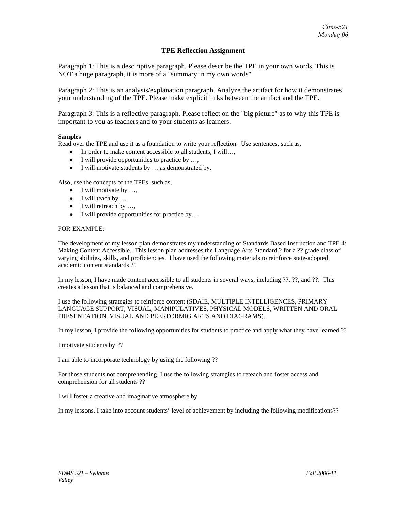#### **TPE Reflection Assignment**

Paragraph 1: This is a desc riptive paragraph. Please describe the TPE in your own words. This is NOT a huge paragraph, it is more of a "summary in my own words"

Paragraph 2: This is an analysis/explanation paragraph. Analyze the artifact for how it demonstrates your understanding of the TPE. Please make explicit links between the artifact and the TPE.

Paragraph 3: This is a reflective paragraph. Please reflect on the "big picture" as to why this TPE is important to you as teachers and to your students as learners.

#### **Samples**

Read over the TPE and use it as a foundation to write your reflection. Use sentences, such as,

- In order to make content accessible to all students, I will...,
- I will provide opportunities to practice by ...,
- I will motivate students by ... as demonstrated by.

Also, use the concepts of the TPEs, such as,

- I will motivate by ...,
- I will teach by ...
- I will retreach by ...,
- I will provide opportunities for practice by...

#### FOR EXAMPLE:

The development of my lesson plan demonstrates my understanding of Standards Based Instruction and TPE 4: Making Content Accessible. This lesson plan addresses the Language Arts Standard ? for a ?? grade class of varying abilities, skills, and proficiencies. I have used the following materials to reinforce state-adopted academic content standards ??

In my lesson, I have made content accessible to all students in several ways, including ??. ??, and ??. This creates a lesson that is balanced and comprehensive.

I use the following strategies to reinforce content (SDAIE, MULTIPLE INTELLIGENCES, PRIMARY LANGUAGE SUPPORT, VISUAL, MANIPULATIVES, PHYSICAL MODELS, WRITTEN AND ORAL PRESENTATION, VISUAL AND PEERFORMIG ARTS AND DIAGRAMS).

In my lesson, I provide the following opportunities for students to practice and apply what they have learned ??

I motivate students by ??

I am able to incorporate technology by using the following ??

For those students not comprehending, I use the following strategies to reteach and foster access and comprehension for all students ??

I will foster a creative and imaginative atmosphere by

In my lessons, I take into account students' level of achievement by including the following modifications??